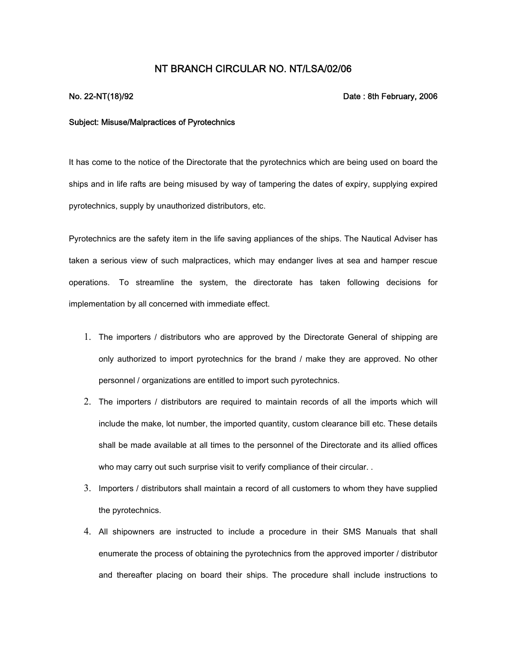## **NT BRANCH CIRCULAR NO. NT/LSA/02/06**

## **No. 22-NT(18)/92 Date : 8th February, 2006**

## **Subject: Misuse/Malpractices of Pyrotechnics**

It has come to the notice of the Directorate that the pyrotechnics which are being used on board the ships and in life rafts are being misused by way of tampering the dates of expiry, supplying expired pyrotechnics, supply by unauthorized distributors, etc.

Pyrotechnics are the safety item in the life saving appliances of the ships. The Nautical Adviser has taken a serious view of such malpractices, which may endanger lives at sea and hamper rescue operations. To streamline the system, the directorate has taken following decisions for implementation by all concerned with immediate effect.

- 1. The importers / distributors who are approved by the Directorate General of shipping are only authorized to import pyrotechnics for the brand / make they are approved. No other personnel / organizations are entitled to import such pyrotechnics.
- 2. The importers / distributors are required to maintain records of all the imports which will include the make, lot number, the imported quantity, custom clearance bill etc. These details shall be made available at all times to the personnel of the Directorate and its allied offices who may carry out such surprise visit to verify compliance of their circular. .
- 3. Importers / distributors shall maintain a record of all customers to whom they have supplied the pyrotechnics.
- 4. All shipowners are instructed to include a procedure in their SMS Manuals that shall enumerate the process of obtaining the pyrotechnics from the approved importer / distributor and thereafter placing on board their ships. The procedure shall include instructions to